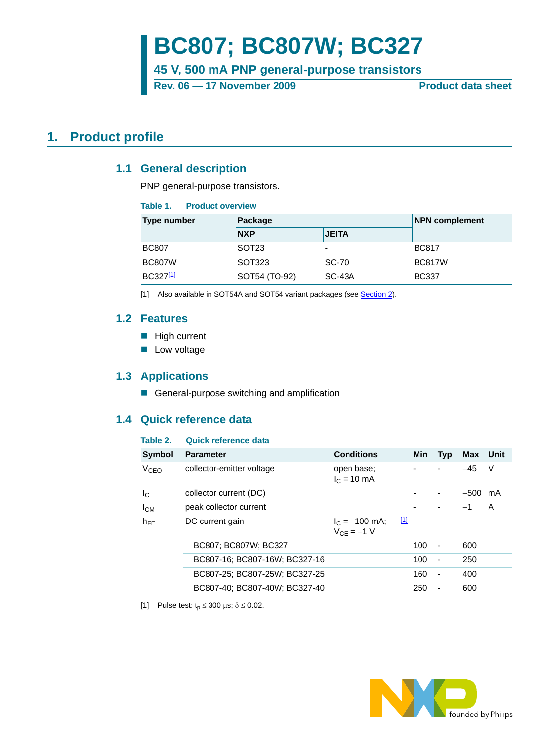# **BC807; BC807W; BC327**

**45 V, 500 mA PNP general-purpose transistors**

Rev. 06 – 17 November 2009 **Product data sheet** 

## <span id="page-0-3"></span><span id="page-0-2"></span>**1. Product profile**

### **1.1 General description**

PNP general-purpose transistors.

#### **Table 1. Product overview**

| Type number   | Package           | <b>NPN complement</b> |               |
|---------------|-------------------|-----------------------|---------------|
|               | <b>NXP</b>        | <b>JEITA</b>          |               |
| <b>BC807</b>  | SOT <sub>23</sub> | $\overline{a}$        | <b>BC817</b>  |
| <b>BC807W</b> | SOT323            | <b>SC-70</b>          | <b>BC817W</b> |
| BC327[1]      | SOT54 (TO-92)     | $SC-43A$              | <b>BC337</b>  |

<span id="page-0-0"></span>[1] Also available in SOT54A and SOT54 variant packages (see [Section 2\)](#page-1-0).

### <span id="page-0-4"></span>**1.2 Features**

- High current
- **Low voltage**

### <span id="page-0-5"></span>**1.3 Applications**

General-purpose switching and amplification

### <span id="page-0-6"></span>**1.4 Quick reference data**

#### **Table 2. Quick reference data**

| Symbol           | <b>Parameter</b>              | <b>Conditions</b>                   |             | <b>Min</b> | <b>Typ</b>               | Max    | Unit |
|------------------|-------------------------------|-------------------------------------|-------------|------------|--------------------------|--------|------|
| V <sub>CEO</sub> | collector-emitter voltage     | open base;<br>$I_C = 10 \text{ mA}$ |             |            |                          | $-45$  | V    |
| $I_{\rm C}$      | collector current (DC)        |                                     |             |            |                          | $-500$ | mA   |
| $I_{CM}$         | peak collector current        |                                     |             |            |                          | $-1$   | A    |
| $h_{\text{FF}}$  | DC current gain               | $I_C = -100$ mA;<br>$V_{CF} = -1 V$ | $\boxed{1}$ |            |                          |        |      |
|                  | BC807; BC807W; BC327          |                                     |             | 100        | $\overline{\phantom{a}}$ | 600    |      |
|                  | BC807-16: BC807-16W: BC327-16 |                                     |             | 100        | $\overline{\phantom{a}}$ | 250    |      |
|                  | BC807-25; BC807-25W; BC327-25 |                                     |             | 160        | $\overline{\phantom{a}}$ | 400    |      |
|                  | BC807-40: BC807-40W: BC327-40 |                                     |             | 250        | $\overline{\phantom{a}}$ | 600    |      |

<span id="page-0-1"></span>[1] Pulse test:  $t_p \le 300 \mu s$ ;  $\delta \le 0.02$ .

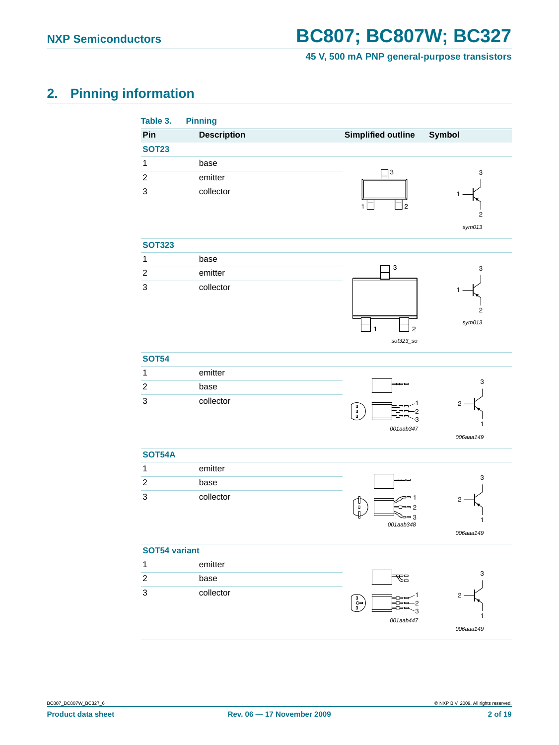**45 V, 500 mA PNP general-purpose transistors**

## <span id="page-1-0"></span>**2. Pinning information**

<span id="page-1-1"></span>

| Table 3.         | <b>Pinning</b>     |                                                                 |                          |
|------------------|--------------------|-----------------------------------------------------------------|--------------------------|
| Pin              | <b>Description</b> | <b>Simplified outline</b>                                       | Symbol                   |
| <b>SOT23</b>     |                    |                                                                 |                          |
| $\mathbf{1}$     | base               | 3                                                               | 3                        |
| $\sqrt{2}$       | emitter            |                                                                 |                          |
| $\mathsf 3$      | collector          | $\overline{2}$                                                  | 1.<br>2<br>sym013        |
| <b>SOT323</b>    |                    |                                                                 |                          |
| $\mathbf{1}$     | base               |                                                                 |                          |
| $\boldsymbol{2}$ | emitter            | 3                                                               | 3                        |
| $\mathsf 3$      | collector          | $\mathbf{1}$<br>$\overline{2}$<br>sot323_so                     | $\overline{c}$<br>sym013 |
| <b>SOT54</b>     |                    |                                                                 |                          |
| $\mathbf{1}$     | emitter            |                                                                 |                          |
| $\boldsymbol{2}$ | base               | $\blacksquare$                                                  | 3                        |
| $\sqrt{3}$       | collector          | $\begin{pmatrix} 0 & 0 \ 0 & 0 \end{pmatrix}$<br>3<br>001aab347 | 2<br>1<br>006aaa149      |
| <b>SOT54A</b>    |                    |                                                                 |                          |
| $\mathbf{1}$     | emitter            |                                                                 |                          |
| $\boldsymbol{2}$ | base               | ᆍᆖ                                                              | 3                        |
| $\sqrt{3}$       | collector          | 28 1<br>Ш<br>$= 2$<br>O<br>$= 3$<br>001aab348                   | 2<br>1<br>006aaa149      |
| SOT54 variant    |                    |                                                                 |                          |
| $\mathbf{1}$     | emitter            |                                                                 |                          |
| $\boldsymbol{2}$ | base               | ٣ä                                                              | 3                        |
| $\sqrt{3}$       | collector          | ခြ<br>2<br>ß<br>001aab447                                       | 2<br>1<br>006aaa149      |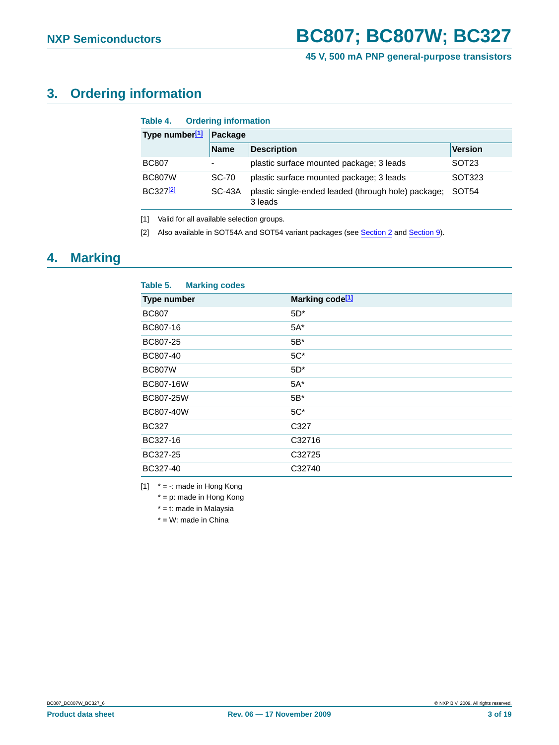## <span id="page-2-3"></span>**3. Ordering information**

| <b>Ordering information</b><br>Table 4. |               |                                                                |                   |  |  |  |
|-----------------------------------------|---------------|----------------------------------------------------------------|-------------------|--|--|--|
| Type number[1]                          | Package       |                                                                |                   |  |  |  |
|                                         | <b>Name</b>   | <b>Description</b>                                             | <b>Version</b>    |  |  |  |
| <b>BC807</b>                            | ٠             | plastic surface mounted package; 3 leads                       | SOT <sub>23</sub> |  |  |  |
| <b>BC807W</b>                           | <b>SC-70</b>  | plastic surface mounted package; 3 leads                       | SOT323            |  |  |  |
| BC3272                                  | <b>SC-43A</b> | plastic single-ended leaded (through hole) package;<br>3 leads | SOT <sub>54</sub> |  |  |  |

<span id="page-2-0"></span>[1] Valid for all available selection groups.

<span id="page-2-1"></span>[2] Also available in SOT54A and SOT54 variant packages (see [Section 2](#page-1-0) and [Section 9\)](#page-15-0).

## <span id="page-2-4"></span>**4. Marking**

| Table 5.<br><b>Marking codes</b> |                             |
|----------------------------------|-----------------------------|
| Type number                      | Marking code <sup>[1]</sup> |
| <b>BC807</b>                     | $5D^*$                      |
| BC807-16                         | $5A^*$                      |
| BC807-25                         | $5B^*$                      |
| BC807-40                         | $5C^*$                      |
| <b>BC807W</b>                    | $5D^*$                      |
| BC807-16W                        | $5A^*$                      |
| BC807-25W                        | $5B^*$                      |
| BC807-40W                        | $5C^*$                      |
| <b>BC327</b>                     | C327                        |
| BC327-16                         | C32716                      |
| BC327-25                         | C32725                      |
| BC327-40                         | C32740                      |

<span id="page-2-2"></span>[1]  $* = -$ : made in Hong Kong

\* = p: made in Hong Kong

\* = t: made in Malaysia

 $*$  = W: made in China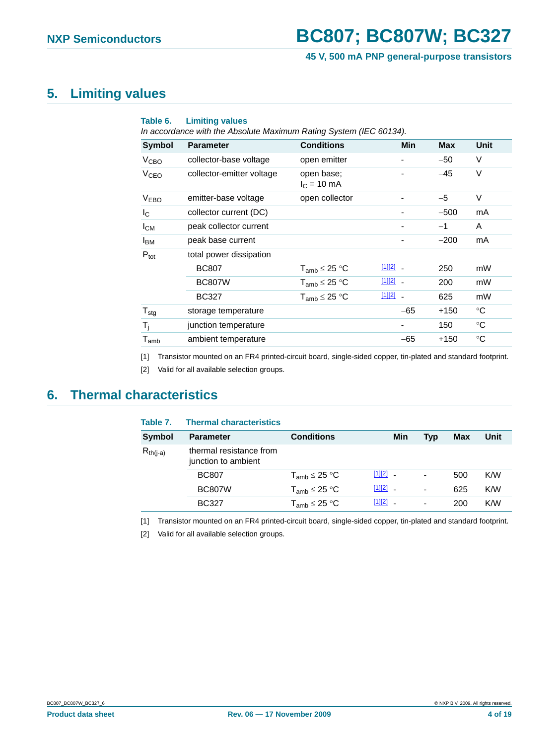## <span id="page-3-4"></span>**5. Limiting values**

| Table 6.                    | <b>Limiting values</b><br>In accordance with the Absolute Maximum Rating System (IEC 60134). |                                     |                          |            |             |
|-----------------------------|----------------------------------------------------------------------------------------------|-------------------------------------|--------------------------|------------|-------------|
| <b>Symbol</b>               | <b>Parameter</b>                                                                             | <b>Conditions</b>                   | Min                      | <b>Max</b> | Unit        |
| V <sub>CBO</sub>            | collector-base voltage                                                                       | open emitter                        |                          | $-50$      | V           |
| V <sub>CEO</sub>            | collector-emitter voltage                                                                    | open base;<br>$I_C = 10 \text{ mA}$ |                          | $-45$      | $\vee$      |
| <b>VEBO</b>                 | emitter-base voltage                                                                         | open collector                      |                          | $-5$       | $\vee$      |
| I <sub>C</sub>              | collector current (DC)                                                                       |                                     |                          | $-500$     | mA          |
| $I_{CM}$                    | peak collector current                                                                       |                                     |                          | $-1$       | A           |
| Iвм                         | peak base current                                                                            |                                     |                          | $-200$     | mA          |
| $P_{\text{tot}}$            | total power dissipation                                                                      |                                     |                          |            |             |
|                             | <b>BC807</b>                                                                                 | $T_{\sf amb}$ $\leq$ 25 °C          | $[1][2]$ $-$             | 250        | mW          |
|                             | <b>BC807W</b>                                                                                | $T_{\sf amb}$ $\leq$ 25 °C          | $[1][2]$ $-$             | 200        | mW          |
|                             | <b>BC327</b>                                                                                 | $T_{amb} \leq 25 °C$                | $[1][2]$ $-$             | 625        | mW          |
| $T_{\text{stg}}$            | storage temperature                                                                          |                                     | $-65$                    | $+150$     | $^{\circ}C$ |
| $\mathsf{T}_\mathsf{i}$     | junction temperature                                                                         |                                     | $\overline{\phantom{a}}$ | 150        | $^{\circ}C$ |
| $\mathsf{T}_{\mathsf{amb}}$ | ambient temperature                                                                          |                                     | $-65$                    | $+150$     | $^{\circ}C$ |

<span id="page-3-0"></span>[1] Transistor mounted on an FR4 printed-circuit board, single-sided copper, tin-plated and standard footprint.

<span id="page-3-1"></span>[2] Valid for all available selection groups.

## <span id="page-3-5"></span>**6. Thermal characteristics**

| Table 7.      | <b>Thermal characteristics</b>                 |                          |              |     |     |      |
|---------------|------------------------------------------------|--------------------------|--------------|-----|-----|------|
| Symbol        | <b>Parameter</b>                               | <b>Conditions</b>        | Min          | Tvp | Max | Unit |
| $R_{th(i-a)}$ | thermal resistance from<br>junction to ambient |                          |              |     |     |      |
|               | <b>BC807</b>                                   | $T_{amb} \leq 25 °C$     | $[1][2]$ $-$ | ۰   | 500 | K/W  |
|               | <b>BC807W</b>                                  | $T_{amb} \leq 25 °C$     | $[1][2]$ $-$ | ۰   | 625 | K/W  |
|               | <b>BC327</b>                                   | $T_{\sf amb} \leq 25$ °C | $[1][2]$ $-$ | ۰   | 200 | K/NV |

<span id="page-3-2"></span>[1] Transistor mounted on an FR4 printed-circuit board, single-sided copper, tin-plated and standard footprint.

<span id="page-3-3"></span>[2] Valid for all available selection groups.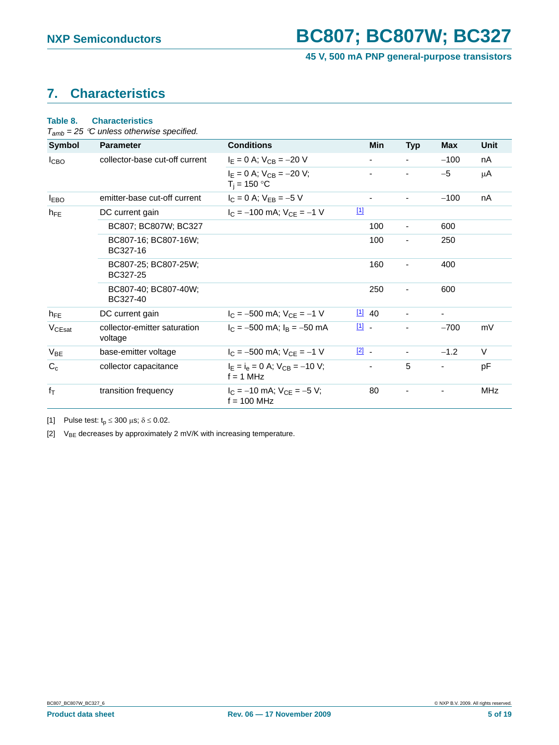## <span id="page-4-2"></span>**7. Characteristics**

### **Table 8. Characteristics**

*Tamb = 25* °*C unless otherwise specified.*

| <b>Symbol</b>      | <b>Parameter</b>                        | <b>Conditions</b>                                   | <b>Min</b>           | <b>Typ</b>               | <b>Max</b>               | Unit       |
|--------------------|-----------------------------------------|-----------------------------------------------------|----------------------|--------------------------|--------------------------|------------|
| <b>I</b> CBO       | collector-base cut-off current          | $I_E = 0$ A; $V_{CB} = -20$ V                       |                      |                          | $-100$                   | nA         |
|                    |                                         | $I_F = 0$ A; $V_{CB} = -20$ V;<br>$T_i = 150 °C$    |                      |                          | $-5$                     | μA         |
| <b>IEBO</b>        | emitter-base cut-off current            | $I_C = 0$ A; $V_{EB} = -5$ V                        | ۰                    |                          | $-100$                   | nA         |
| $h_{FE}$           | DC current gain                         | $[1]$<br>$I_C = -100$ mA; $V_{CF} = -1$ V           |                      |                          |                          |            |
|                    | BC807; BC807W; BC327                    |                                                     | 100                  | $\overline{\phantom{a}}$ | 600                      |            |
|                    | BC807-16; BC807-16W;<br>BC327-16        |                                                     | 100                  | ٠                        | 250                      |            |
|                    | BC807-25; BC807-25W;<br>BC327-25        |                                                     | 160                  |                          | 400                      |            |
|                    | BC807-40; BC807-40W;<br>BC327-40        |                                                     | 250                  |                          | 600                      |            |
| $h_{FE}$           | DC current gain                         | $I_C = -500$ mA; $V_{CE} = -1$ V                    | $\frac{[1]}{[2]}$ 40 |                          | $\overline{\phantom{a}}$ |            |
| V <sub>CEsat</sub> | collector-emitter saturation<br>voltage | $I_C = -500$ mA; $I_B = -50$ mA                     | $\boxed{11}$ .       |                          | $-700$                   | mV         |
| $V_{BE}$           | base-emitter voltage                    | $I_C = -500$ mA; $V_{CE} = -1$ V                    | $\boxed{2}$ -        |                          | $-1.2$                   | $\vee$     |
| $C_c$              | collector capacitance                   | $I_E = I_e = 0$ A; $V_{CB} = -10$ V;<br>$f = 1$ MHz |                      | 5                        |                          | pF         |
| $f_T$              | transition frequency                    | $I_C = -10$ mA; $V_{CF} = -5$ V;<br>$f = 100$ MHz   | 80                   |                          |                          | <b>MHz</b> |

<span id="page-4-0"></span>[1] Pulse test:  $t_p \le 300 \text{ }\mu\text{s}; \delta \le 0.02$ .

<span id="page-4-1"></span>[2]  $V_{BE}$  decreases by approximately 2 mV/K with increasing temperature.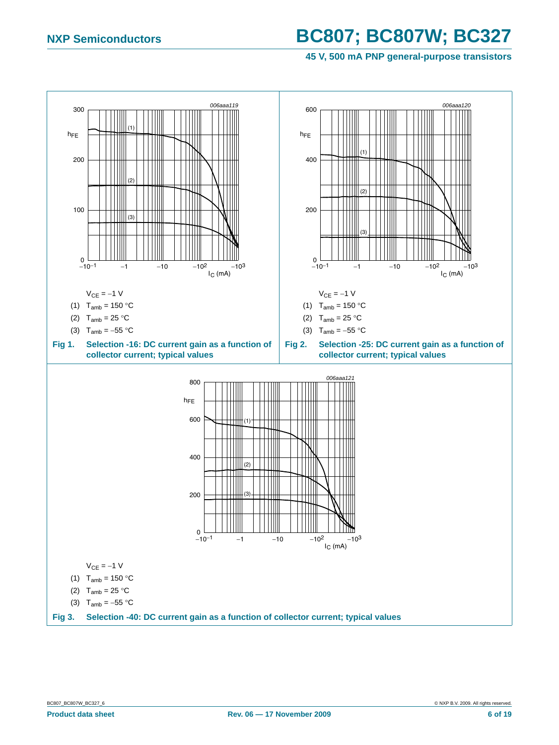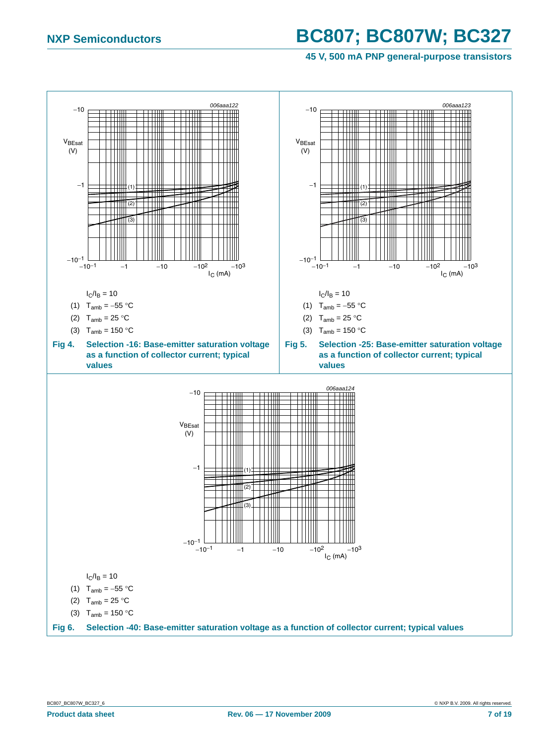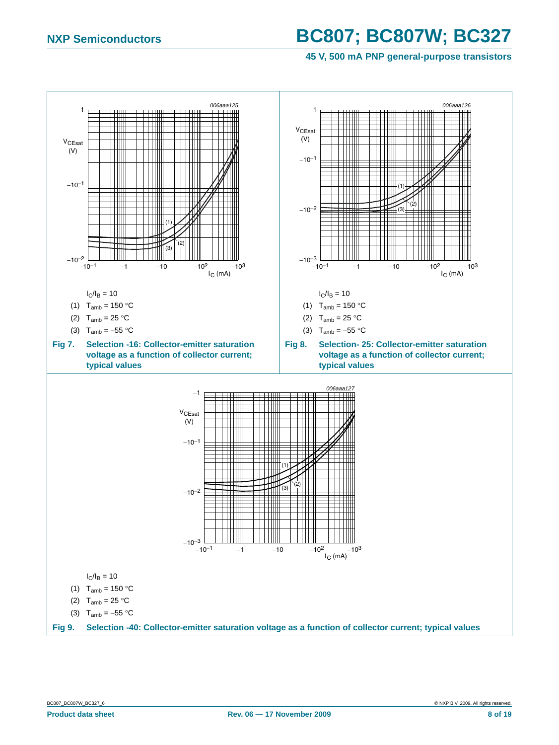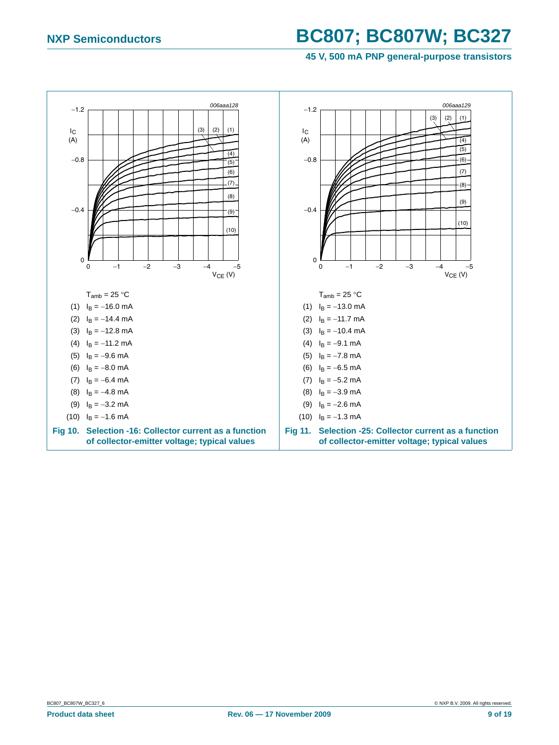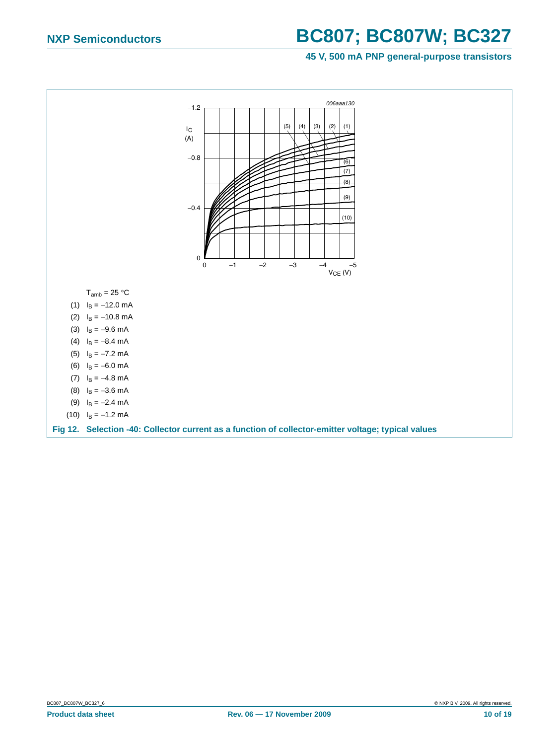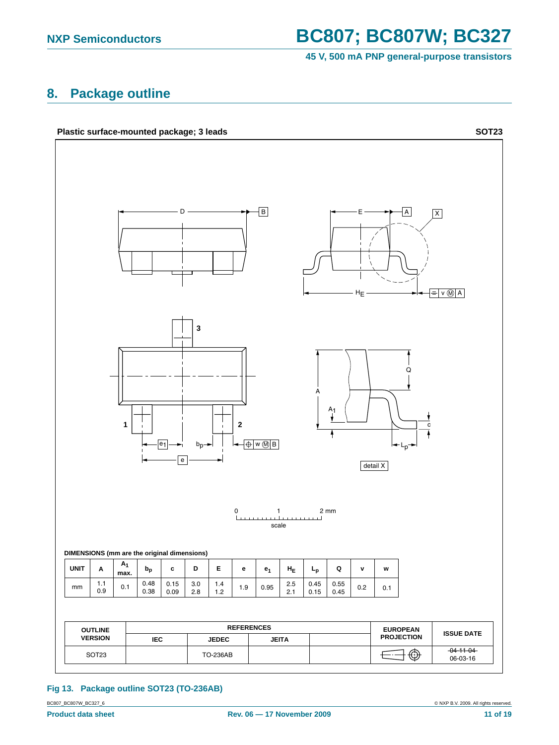**45 V, 500 mA PNP general-purpose transistors**

### <span id="page-10-1"></span>**8. Package outline**



#### <span id="page-10-0"></span>**Fig 13. Package outline SOT23 (TO-236AB)**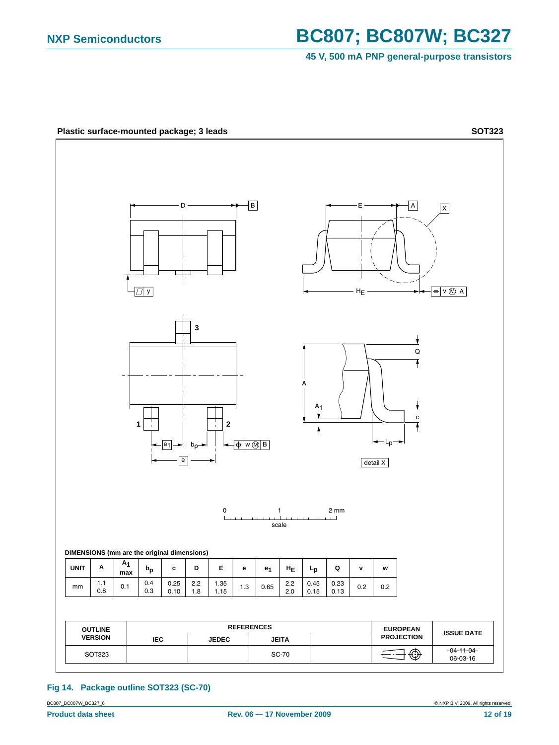**45 V, 500 mA PNP general-purpose transistors**



#### <span id="page-11-0"></span>**Fig 14. Package outline SOT323 (SC-70)**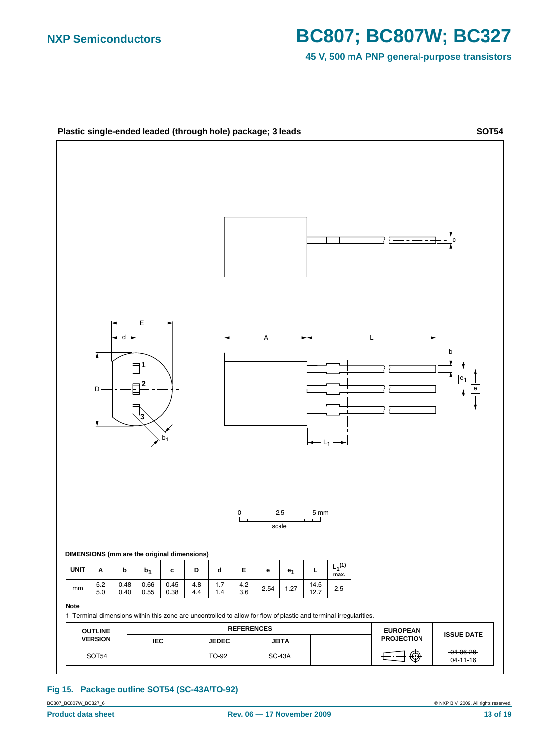#### **45 V, 500 mA PNP general-purpose transistors**



#### **Fig 15. Package outline SOT54 (SC-43A/TO-92)**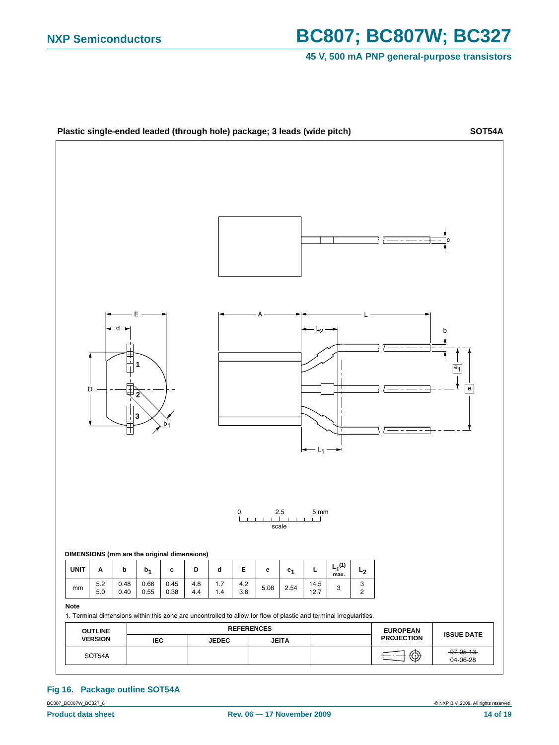#### **45 V, 500 mA PNP general-purpose transistors**



#### **Fig 16. Package outline SOT54A**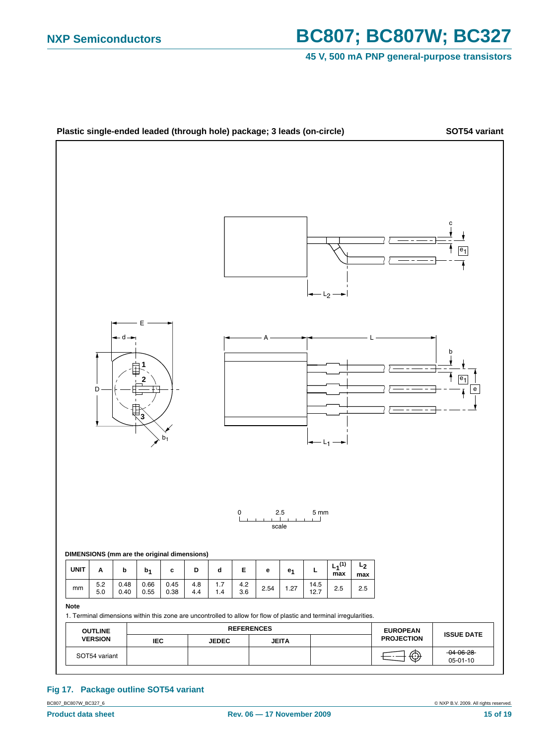#### **45 V, 500 mA PNP general-purpose transistors**



#### **Fig 17. Package outline SOT54 variant**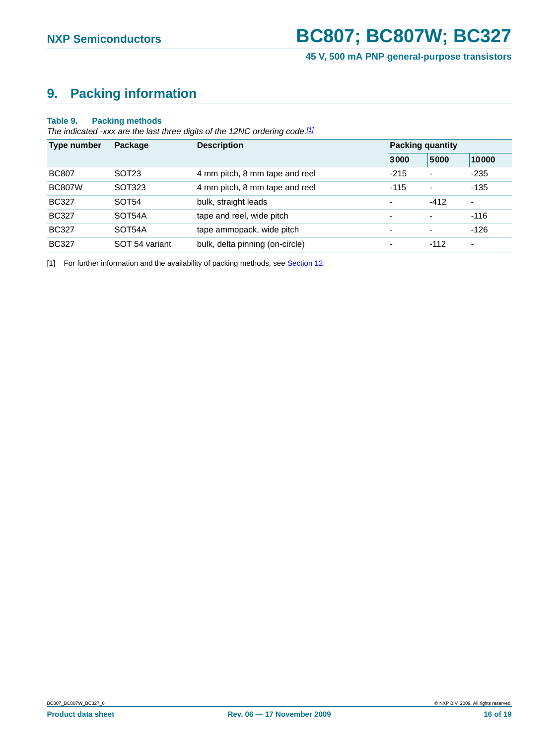## <span id="page-15-0"></span>**9. Packing information**

#### **Table 9. Packing methods**

*The indicated -xxx are the last three digits of the 12NC ordering code.[\[1\]](#page-15-1)*

| Type number   | Package           | <b>Description</b>              | <b>Packing quantity</b>  |                          |                          |  |
|---------------|-------------------|---------------------------------|--------------------------|--------------------------|--------------------------|--|
|               |                   |                                 | 3000                     | 5000                     | 10000                    |  |
| <b>BC807</b>  | SOT <sub>23</sub> | 4 mm pitch, 8 mm tape and reel  | $-215$                   | $\overline{\phantom{a}}$ | $-235$                   |  |
| <b>BC807W</b> | SOT323            | 4 mm pitch, 8 mm tape and reel  | $-115$                   | $\overline{\phantom{a}}$ | $-135$                   |  |
| <b>BC327</b>  | SOT <sub>54</sub> | bulk, straight leads            | ۰                        | $-412$                   | $\overline{\phantom{a}}$ |  |
| <b>BC327</b>  | SOT54A            | tape and reel, wide pitch       | $\overline{\phantom{0}}$ | $\overline{\phantom{a}}$ | $-116$                   |  |
| <b>BC327</b>  | SOT54A            | tape ammopack, wide pitch       | $\overline{\phantom{0}}$ | $\overline{\phantom{0}}$ | $-126$                   |  |
| <b>BC327</b>  | SOT 54 variant    | bulk, delta pinning (on-circle) | $\overline{\phantom{0}}$ | $-112$                   | ۰                        |  |

<span id="page-15-1"></span>[1] For further information and the availability of packing methods, see [Section 12.](#page-17-0)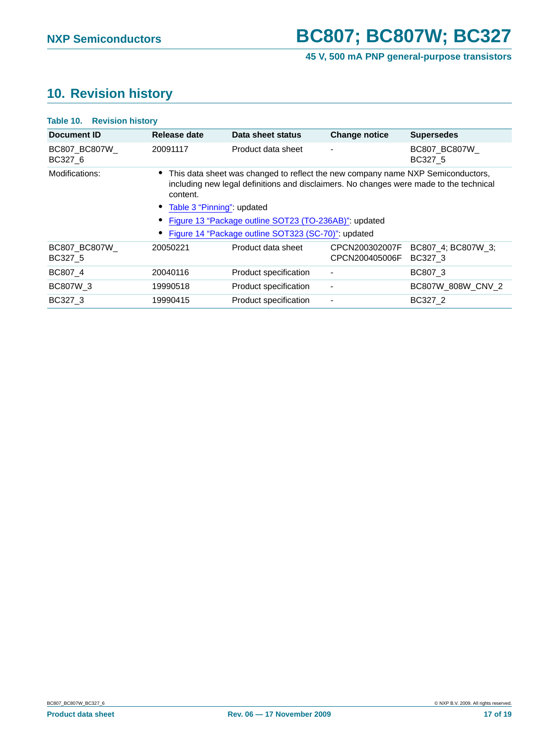## <span id="page-16-0"></span>**10. Revision history**

| <b>Table 10. Revision history</b>                     |                       |                                  |                                                                                                                                                                                                                                  |  |  |
|-------------------------------------------------------|-----------------------|----------------------------------|----------------------------------------------------------------------------------------------------------------------------------------------------------------------------------------------------------------------------------|--|--|
| Release date                                          | Data sheet status     | <b>Change notice</b>             | <b>Supersedes</b>                                                                                                                                                                                                                |  |  |
| 20091117                                              | Product data sheet    |                                  | <b>BC807 BC807W</b><br>BC327 5                                                                                                                                                                                                   |  |  |
| content.                                              |                       |                                  |                                                                                                                                                                                                                                  |  |  |
| Table 3 "Pinning": updated                            |                       |                                  |                                                                                                                                                                                                                                  |  |  |
| Figure 13 "Package outline SOT23 (TO-236AB)": updated |                       |                                  |                                                                                                                                                                                                                                  |  |  |
|                                                       |                       |                                  |                                                                                                                                                                                                                                  |  |  |
| 20050221                                              | Product data sheet    | CPCN200302007F<br>CPCN200405006F | BC807 4: BC807W 3:<br>BC327 3                                                                                                                                                                                                    |  |  |
| 20040116                                              | Product specification |                                  | BC807 3                                                                                                                                                                                                                          |  |  |
| 19990518                                              | Product specification |                                  | BC807W 808W CNV 2                                                                                                                                                                                                                |  |  |
| 19990415                                              | Product specification |                                  | BC327 2                                                                                                                                                                                                                          |  |  |
|                                                       |                       |                                  | This data sheet was changed to reflect the new company name NXP Semiconductors,<br>including new legal definitions and disclaimers. No changes were made to the technical<br>Figure 14 "Package outline SOT323 (SC-70)": updated |  |  |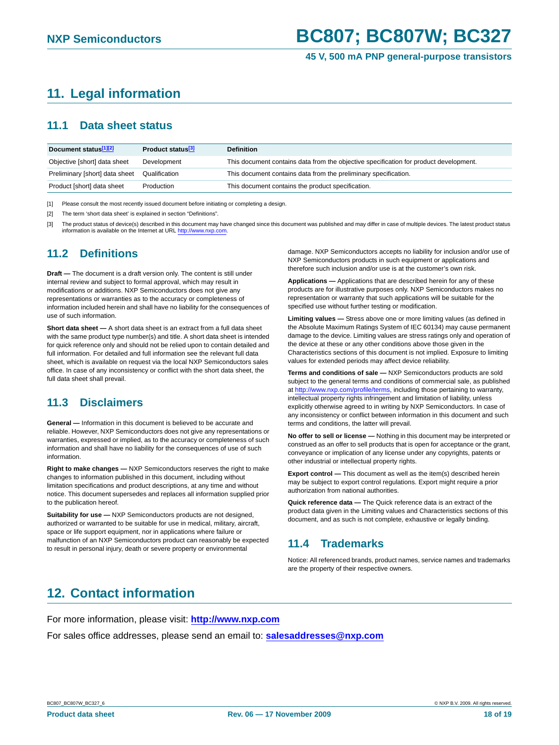## <span id="page-17-1"></span>**11. Legal information**

### <span id="page-17-2"></span>**11.1 Data sheet status**

| Document status <sup>[1][2]</sup> | Product status <sup>[3]</sup> | <b>Definition</b>                                                                     |
|-----------------------------------|-------------------------------|---------------------------------------------------------------------------------------|
| Objective [short] data sheet      | Development                   | This document contains data from the objective specification for product development. |
| Preliminary [short] data sheet    | Qualification                 | This document contains data from the preliminary specification.                       |
| Product [short] data sheet        | Production                    | This document contains the product specification.                                     |

[1] Please consult the most recently issued document before initiating or completing a design.

[2] The term 'short data sheet' is explained in section "Definitions".

[3] The product status of device(s) described in this document may have changed since this document was published and may differ in case of multiple devices. The latest product status information is available on the Internet at URL http://www.nxp.com.

### <span id="page-17-3"></span>**11.2 Definitions**

**Draft —** The document is a draft version only. The content is still under internal review and subject to formal approval, which may result in modifications or additions. NXP Semiconductors does not give any representations or warranties as to the accuracy or completeness of information included herein and shall have no liability for the consequences of use of such information.

**Short data sheet —** A short data sheet is an extract from a full data sheet with the same product type number(s) and title. A short data sheet is intended for quick reference only and should not be relied upon to contain detailed and full information. For detailed and full information see the relevant full data sheet, which is available on request via the local NXP Semiconductors sales office. In case of any inconsistency or conflict with the short data sheet, the full data sheet shall prevail.

### <span id="page-17-4"></span>**11.3 Disclaimers**

**General —** Information in this document is believed to be accurate and reliable. However, NXP Semiconductors does not give any representations or warranties, expressed or implied, as to the accuracy or completeness of such information and shall have no liability for the consequences of use of such information.

**Right to make changes —** NXP Semiconductors reserves the right to make changes to information published in this document, including without limitation specifications and product descriptions, at any time and without notice. This document supersedes and replaces all information supplied prior to the publication hereof.

**Suitability for use —** NXP Semiconductors products are not designed, authorized or warranted to be suitable for use in medical, military, aircraft, space or life support equipment, nor in applications where failure or malfunction of an NXP Semiconductors product can reasonably be expected to result in personal injury, death or severe property or environmental

damage. NXP Semiconductors accepts no liability for inclusion and/or use of NXP Semiconductors products in such equipment or applications and therefore such inclusion and/or use is at the customer's own risk.

**Applications —** Applications that are described herein for any of these products are for illustrative purposes only. NXP Semiconductors makes no representation or warranty that such applications will be suitable for the specified use without further testing or modification.

**Limiting values —** Stress above one or more limiting values (as defined in the Absolute Maximum Ratings System of IEC 60134) may cause permanent damage to the device. Limiting values are stress ratings only and operation of the device at these or any other conditions above those given in the Characteristics sections of this document is not implied. Exposure to limiting values for extended periods may affect device reliability.

**Terms and conditions of sale —** NXP Semiconductors products are sold subject to the general terms and conditions of commercial sale, as published at http://www.nxp.com/profile/terms, including those pertaining to warranty, intellectual property rights infringement and limitation of liability, unless explicitly otherwise agreed to in writing by NXP Semiconductors. In case of any inconsistency or conflict between information in this document and such terms and conditions, the latter will prevail.

**No offer to sell or license —** Nothing in this document may be interpreted or construed as an offer to sell products that is open for acceptance or the grant, conveyance or implication of any license under any copyrights, patents or other industrial or intellectual property rights.

**Export control —** This document as well as the item(s) described herein may be subject to export control regulations. Export might require a prior authorization from national authorities.

**Quick reference data —** The Quick reference data is an extract of the product data given in the Limiting values and Characteristics sections of this document, and as such is not complete, exhaustive or legally binding.

### <span id="page-17-5"></span>**11.4 Trademarks**

Notice: All referenced brands, product names, service names and trademarks are the property of their respective owners.

## <span id="page-17-0"></span>**12. Contact information**

For more information, please visit: **http://www.nxp.com** For sales office addresses, please send an email to: **salesaddresses@nxp.com**